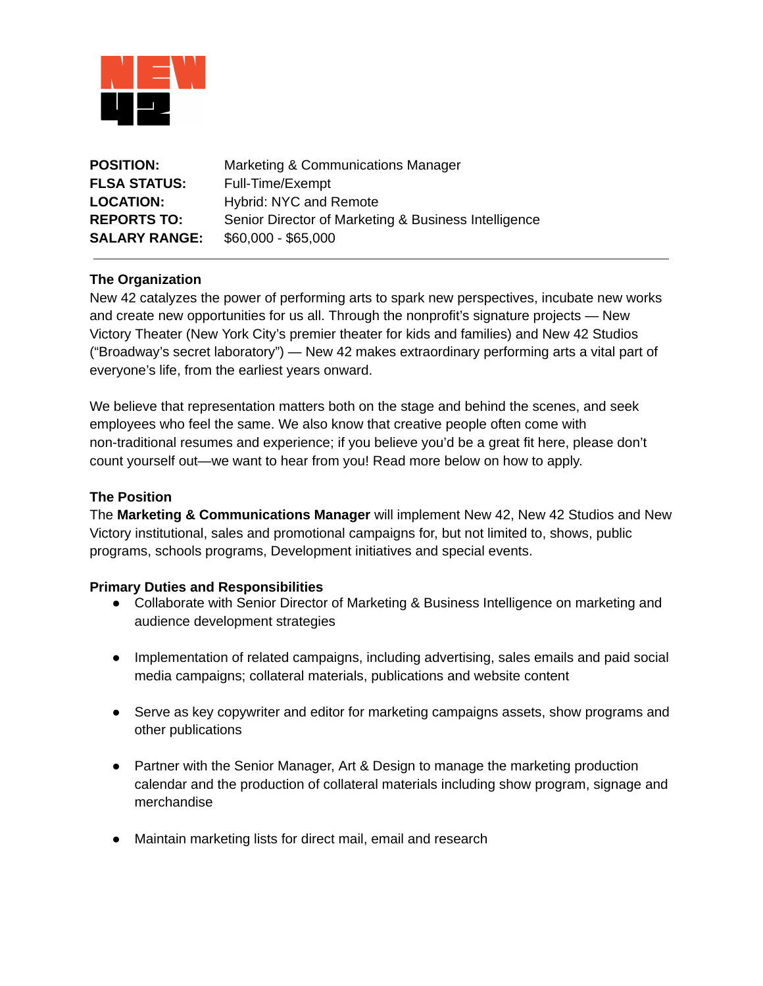

| <b>POSITION:</b>     | Marketing & Communications Manager                   |
|----------------------|------------------------------------------------------|
| <b>FLSA STATUS:</b>  | Full-Time/Exempt                                     |
| <b>LOCATION:</b>     | <b>Hybrid: NYC and Remote</b>                        |
| <b>REPORTS TO:</b>   | Senior Director of Marketing & Business Intelligence |
| <b>SALARY RANGE:</b> | $$60,000 - $65,000$                                  |

# **The Organization**

New 42 catalyzes the power of performing arts to spark new perspectives, incubate new works and create new opportunities for us all. Through the nonprofit's signature projects — New Victory Theater (New York City's premier theater for kids and families) and New 42 Studios ("Broadway's secret laboratory") — New 42 makes extraordinary performing arts a vital part of everyone's life, from the earliest years onward.

We believe that representation matters both on the stage and behind the scenes, and seek employees who feel the same. We also know that creative people often come with non-traditional resumes and experience; if you believe you'd be a great fit here, please don't count yourself out—we want to hear from you! Read more below on how to apply.

### **The Position**

The **Marketing & Communications Manager** will implement New 42, New 42 Studios and New Victory institutional, sales and promotional campaigns for, but not limited to, shows, public programs, schools programs, Development initiatives and special events.

#### **Primary Duties and Responsibilities**

- Collaborate with Senior Director of Marketing & Business Intelligence on marketing and audience development strategies
- Implementation of related campaigns, including advertising, sales emails and paid social media campaigns; collateral materials, publications and website content
- Serve as key copywriter and editor for marketing campaigns assets, show programs and other publications
- Partner with the Senior Manager, Art & Design to manage the marketing production calendar and the production of collateral materials including show program, signage and merchandise
- Maintain marketing lists for direct mail, email and research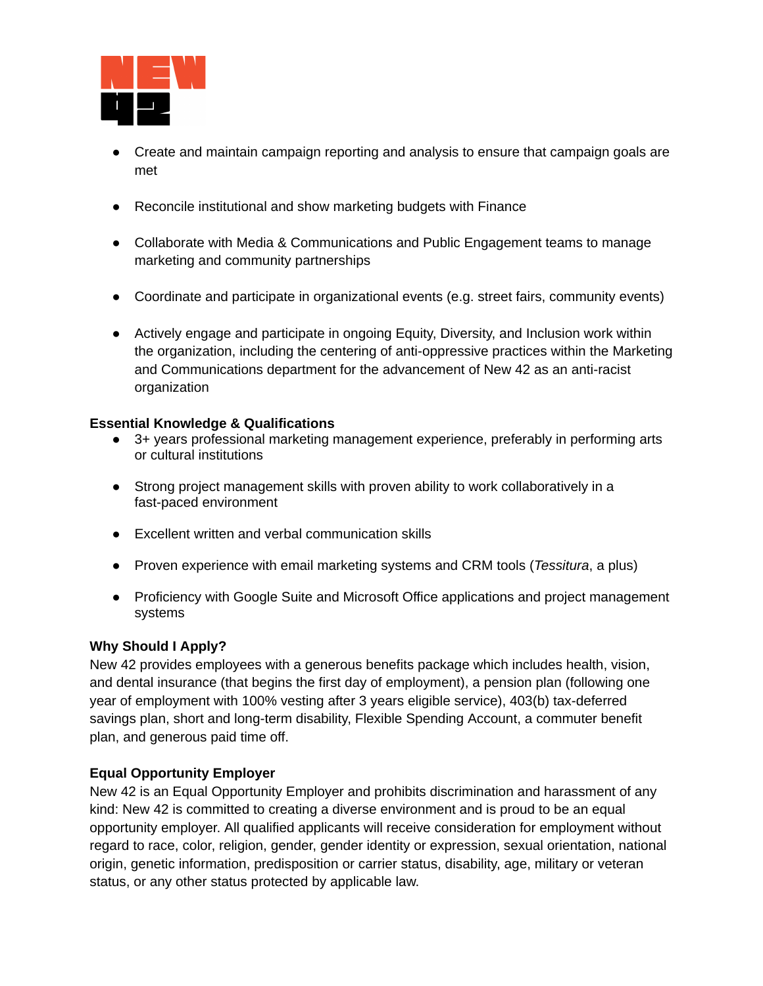

- Create and maintain campaign reporting and analysis to ensure that campaign goals are met
- Reconcile institutional and show marketing budgets with Finance
- Collaborate with Media & Communications and Public Engagement teams to manage marketing and community partnerships
- Coordinate and participate in organizational events (e.g. street fairs, community events)
- Actively engage and participate in ongoing Equity, Diversity, and Inclusion work within the organization, including the centering of anti-oppressive practices within the Marketing and Communications department for the advancement of New 42 as an anti-racist organization

# **Essential Knowledge & Qualifications**

- 3+ years professional marketing management experience, preferably in performing arts or cultural institutions
- Strong project management skills with proven ability to work collaboratively in a fast-paced environment
- Excellent written and verbal communication skills
- Proven experience with email marketing systems and CRM tools (*Tessitura*, a plus)
- Proficiency with Google Suite and Microsoft Office applications and project management systems

# **Why Should I Apply?**

New 42 provides employees with a generous benefits package which includes health, vision, and dental insurance (that begins the first day of employment), a pension plan (following one year of employment with 100% vesting after 3 years eligible service), 403(b) tax-deferred savings plan, short and long-term disability, Flexible Spending Account, a commuter benefit plan, and generous paid time off.

# **Equal Opportunity Employer**

New 42 is an Equal Opportunity Employer and prohibits discrimination and harassment of any kind: New 42 is committed to creating a diverse environment and is proud to be an equal opportunity employer. All qualified applicants will receive consideration for employment without regard to race, color, religion, gender, gender identity or expression, sexual orientation, national origin, genetic information, predisposition or carrier status, disability, age, military or veteran status, or any other status protected by applicable law.